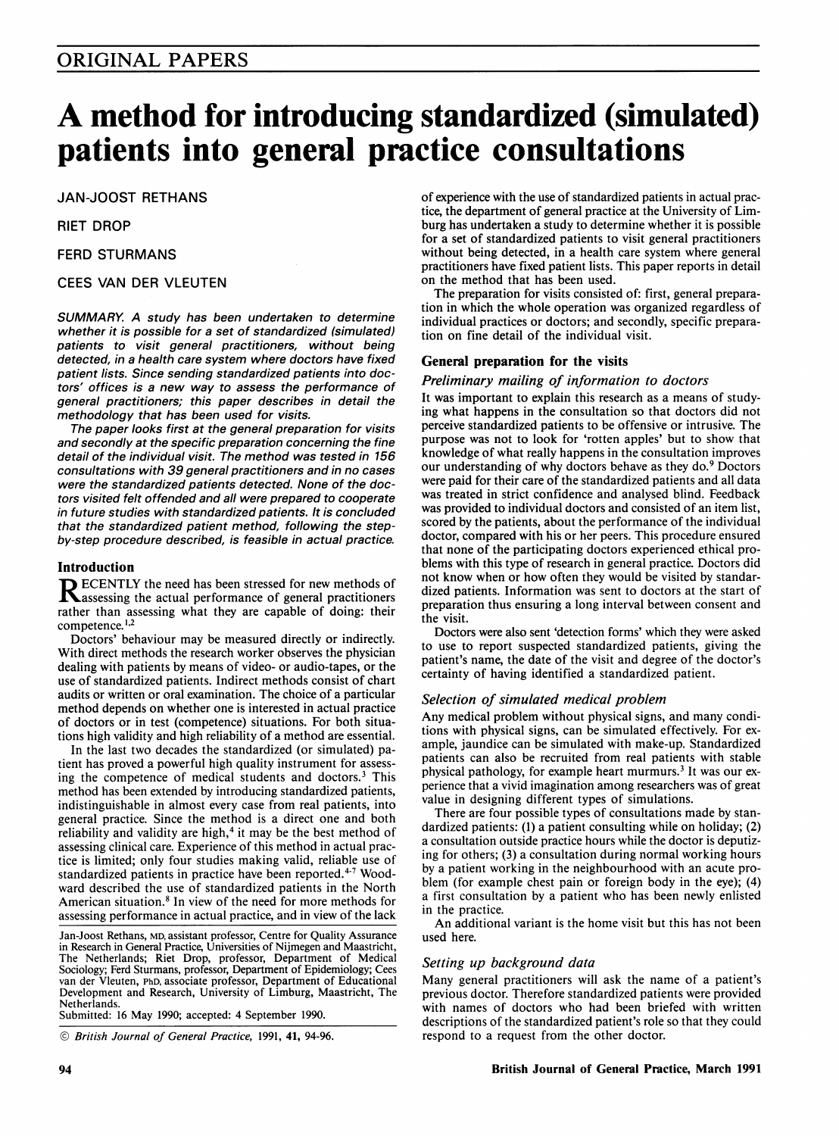# A method for introducing standardized (simulated) patients into general practice consultations

JAN-JOOST RETHANS

RIET DROP

FERD STURMANS

# CEES VAN DER VLEUTEN

SUMMARY. A study has been undertaken to determine whether it is possible for a set of standardized (simulated) patients to visit general practitioners, without being detected, in a health care system where doctors have fixed patient lists. Since sending standardized patients into doctors' offices is a new way to assess the performance of general practitioners; this paper describes in detail the methodology that has been used for visits.

The paper looks first at the general preparation for visits and secondly at the specific preparation concerning the fine detail of the individual visit. The method was tested in 156 consultations with 39 general practitioners and in no cases were the standardized patients detected. None of the doctors visited felt offended and all were prepared to cooperate in future studies with standardized patients. It is concluded that the standardized patient method, following the stepby-step procedure described, is feasible in actual practice.

# Introduction

**D** ECENTLY the need has been stressed for new methods of assessing the actual performance of general practitioners rather than assessing what they are capable of doing: their competence.<sup>1,2</sup>

Doctors' behaviour may be measured directly or indirectly. With direct methods the research worker observes the physician dealing with patients by means of video- or audio-tapes, or the use of standardized patients. Indirect methods consist of chart audits or written or oral examination. The choice of a particular method depends on whether one is interested in actual practice of doctors or in test (competence) situations. For both situations high validity and high reliability of a method are essential.

In the last two decades the standardized (or simulated) patient has proved a powerful high quality instrument for assessing the competence of medical students and doctors.3 This method has been extended by introducing standardized patients, indistinguishable in almost every case from real patients, into general practice. Since the method is a direct one and both reliability and validity are high, $4$  it may be the best method of assessing clinical care. Experience of this method in actual practice is limited; only four studies making valid, reliable use of standardized patients in practice have been reported.<sup>4-7</sup> Woodward described the use of standardized patients in the North American situation.<sup>8</sup> In view of the need for more methods for assessing performance in actual practice, and in view of the lack

Jan-Joost Rethans, MD, assistant professor, Centre for Quality Assurance in Research in General Practice, Universities of Nijmegen and Maastricht, The Netherlands; Riet Drop, professor, Department of Medical Sociology; Ferd Sturmans, professor, Department of Epidemiology; Cees van der Vleuten, PhD, associate professor, Department of Educational Development and Research, University of Limburg, Maastricht, The Netherlands.

Submitted: <sup>16</sup> May 1990; accepted: 4 September 1990.

© British Journal of General Practice, 1991, 41, 94-96.

of experience with the use of standardized patients in actual practice, the department of general practice at the University of Limburg has undertaken a study to determine whether it is possible for a set of standardized patients to visit general practitioners without being detected, in a health care system where general practitioners have fixed patient lists. This paper reports in detail on the method that has been used.

The preparation for visits consisted of: first, general preparation in which the whole operation was organized regardless of individual practices or doctors; and secondly, specific preparation on fine detail of the individual visit.

# General preparation for the visits

Preliminary mailing of information to doctors

It was important to explain this research as a means of studying what happens in the consultation so that doctors did not perceive standardized patients to be offensive or intrusive. The purpose was not to look for 'rotten apples' but to show that knowledge of what really happens in the consultation improves our understanding of why doctors behave as they do.9 Doctors were paid for their care of the standardized patients and all data was treated in strict confidence and analysed blind. Feedback was provided to individual doctors and consisted of an item list, scored by the patients, about the performance of the individual doctor, compared with his or her peers. This procedure ensured that none of the participating doctors experienced ethical problems with this type of research in general practice. Doctors did not know when or how often they would be visited by standardized patients. Information was sent to doctors at the start of preparation thus ensuring a long interval between consent and the visit.

Doctors were also sent 'detection forms' which they were asked to use to report suspected standardized patients, giving the patient's name, the date of the visit and degree of the doctor's certainty of having identified a standardized patient.

# Selection of simulated medical problem

Any medical problem without physical signs, and many conditions with physical signs, can be simulated effectively. For example, jaundice can be simulated with make-up. Standardized patients can also be recruited from real patients with stable physical pathology, for example heart murmurs.<sup>3</sup> It was our experience that a vivid imagination among researchers was of great value in designing different types of simulations.

There are four possible types of consultations made by standardized patients: (1) a patient consulting while on holiday; (2) a consultation outside practice hours while the doctor is deputizing for others; (3) a consultation during normal working hours by a patient working in the neighbourhood with an acute problem (for example chest pain or foreign body in the eye); (4) a first consultation by a patient who has been newly enlisted in the practice.

An additional variant is the home visit but this has not been used here.

# Setting up background data

Many general practitioners will ask the name of a patient's previous doctor. Therefore standardized patients were provided with names of doctors who had been briefed with written descriptions of the standardized patient's role so that they could respond to a request from the other doctor.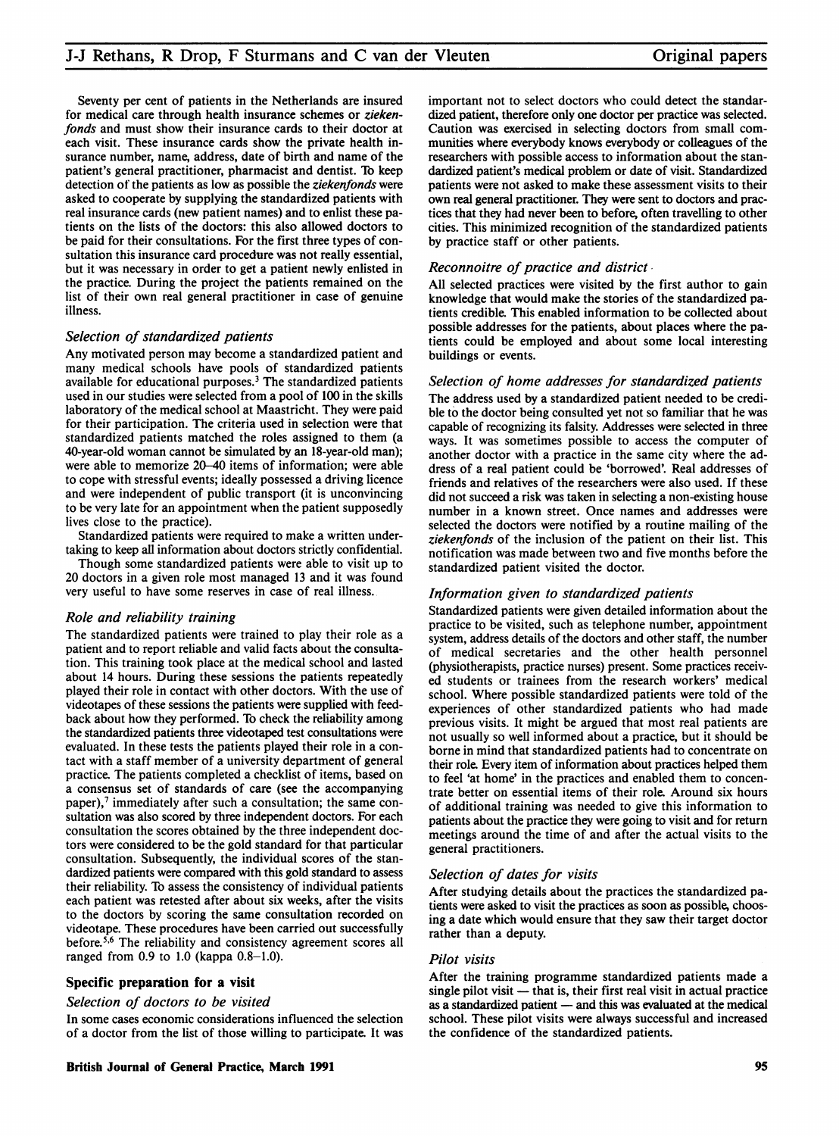Seventy per cent of patients in the Netherlands are insured for medical care through health insurance schemes or ziekenfonds and must show their insurance cards to their doctor at each visit. These insurance cards show the private health insurance number, name, address, date of birth and name of the patient's general practitioner, pharmacist and dentist. To keep detection of the patients as low as possible the ziekenfonds were asked to cooperate by supplying the standardized patients with real insurance cards (new patient names) and to enlist these patients on the lists of the doctors: this also allowed doctors to be paid for their consultations. For the first three types of consultation this insurance card procedure was not really essential, but it was necessary in order to get a patient newly enlisted in the practice. During the project the patients remained on the list of their own real general practitioner in case of genuine illness.

## Selection of standardized patients

Any motivated person may become a standardized patient and many medical schools have pools of standardized patients available for educational purposes.3 The standardized patients used in our studies were selected from a pool of 100 in the skills laboratory of the medical school at Maastricht. They were paid for their participation. The criteria used in selection were that standardized patients matched the roles assigned to them (a 40-year-old woman cannot be simulated by an 18-year-old man); were able to memorize 20-40 items of information; were able to cope with stressful events; ideally possessed a driving licence and were independent of public transport (it is unconvincing to be very late for an appointment when the patient supposedly lives close to the practice).

Standardized patients were required to make a written undertaking to keep all information about doctors strictly confidential.

Though some standardized patients were able to visit up to 20 doctors in a given role most managed <sup>13</sup> and it was found very useful to have some reserves in case of real illness.

# Role and reliability training

The standardized patients were trained to play their role as a patient and to report reliable and valid facts about the consultation. This training took place at the medical school and lasted about 14 hours. During these sessions the patients repeatedly played their role in contact with other doctors. With the use of videotapes of these sessions the patients were supplied with feedback about how they performed. To check the reliability among the standardized patients three videotaped test consultations were evaluated. In these tests the patients played their role in a contact with a staff member of a university department of general practice. The patients completed a checklist of items, based on a consensus set of standards of care (see the accompanying paper), $7$  immediately after such a consultation; the same consultation was also scored by three independent doctors. For each consultation the scores obtained by the three independent doctors were considered to be the gold standard for that particular consultation. Subsequently, the individual scores of the standardized patients were compared with this gold standard to assess their reliability. To assess the consistency of individual patients each patient was retested after about six weeks, after the visits to the doctors by scoring the same consultation recorded on videotape. These procedures have been carried out successfully before.56 The reliability and consistency agreement scores all ranged from 0.9 to 1.0 (kappa 0.8-1.0).

# Specific preparation for a visit

# Selection of doctors to be visited

In some cases economic considerations influenced the selection of a doctor from the list of those willing to participate. It was

important not to select doctors who could detect the standardized patient, therefore only one doctor per practice was selected. Caution was exercised in selecting doctors from small communities where everybody knows everybody or colleagues of the researchers with possible access to information about the standardized patient's medical problem or date of visit. Standardized patients were not asked to make these assessment visits to their own real general practitioner. They were sent to doctors and practices that they had never been to before, often travelling to other cities. This minimized recognition of the standardized patients by practice staff or other patients.

#### Reconnoitre of practice and district

All selected practices were visited by the first author to gain knowledge that would make the stories of the standardized patients credible. This enabled information to be collected about possible addresses for the patients, about places where the patients could be employed and about some local interesting buildings or events.

#### Selection of home addresses for standardized patients

The address used by a standardized patient needed to be credible to the doctor being consulted yet not so familiar that he was capable of recognizing its falsity. Addresses were selected in three ways. It was sometimes possible to access the computer of another doctor with a practice in the same city where the address of a real patient could be 'borrowed'. Real addresses of friends and relatives of the researchers were also used. If these did not succeed a risk was taken in selecting a non-existing house number in a known street. Once names and addresses were selected the doctors were notified by a routine mailing of the ziekenfonds of the inclusion of the patient on their list. This notification was made between two and five months before the standardized patient visited the doctor.

#### Information given to standardized patients

Standardized patients were given detailed information about the practice to be visited, such as telephone number, appointment system, address details of the doctors and other staff, the number of medical secretaries and the other health personnel (physiotherapists, practice nurses) present. Some practices received students or trainees from the research workers' medical school. Where possible standardized patients were told of the experiences of other standardized patients who had made previous visits. It might be argued that most real patients are not usually so well informed about a practice, but it should be borne in mind that standardized patients had to concentrate on their role. Every item of information about practices helped them to feel 'at home' in the practices and enabled them to concentrate better on essential items of their role. Around six hours of additional training was needed to give this information to patients about the practice they were going to visit and for return meetings around the time of and after the actual visits to the general practitioners.

#### Selection of dates for visits

After studying details about the practices the standardized patients were asked to visit the practices as soon as possible, choosing a date which would ensure that they saw their target doctor rather than a deputy.

#### Pilot visits

After the training programme standardized patients made a single pilot visit  $-$  that is, their first real visit in actual practice as a standardized patient  $-$  and this was evaluated at the medical school. These pilot visits were always successful and increased the confidence of the standardized patients.